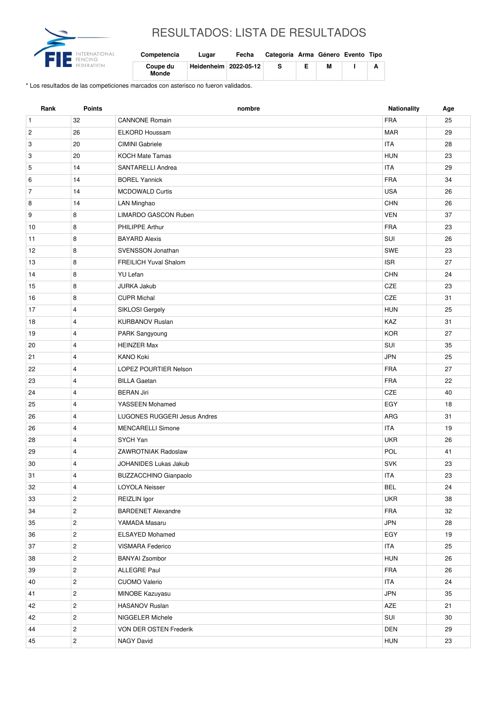

## RESULTADOS: LISTA DE RESULTADOS

| Competencia       | Lugar                   | Fecha | Categoría Arma Género Evento Tipo |   |   |
|-------------------|-------------------------|-------|-----------------------------------|---|---|
| Coupe du<br>Monde | Heidenheim   2022-05-12 |       | s                                 | м | A |

\* Los resultados de las competiciones marcados con asterisco no fueron validados.

| <b>FRA</b><br>32<br><b>CANNONE Romain</b><br>$\mathbf{1}$<br><b>ELKORD Houssam</b><br><b>MAR</b><br>$\overline{c}$<br>26<br>3<br>20<br><b>CIMINI</b> Gabriele<br><b>ITA</b><br><b>HUN</b><br>3<br>20<br><b>KOCH Mate Tamas</b><br>14<br>SANTARELLI Andrea<br><b>ITA</b><br>5<br><b>FRA</b><br>6<br>14<br><b>BOREL Yannick</b><br>$\overline{7}$<br>14<br><b>MCDOWALD Curtis</b><br><b>USA</b><br><b>CHN</b><br>8<br>14<br>LAN Minghao<br>9<br>8<br>LIMARDO GASCON Ruben<br><b>VEN</b><br>PHILIPPE Arthur<br><b>FRA</b><br>8<br>10 | 25<br>29<br>28<br>23<br>29<br>34<br>26<br>26<br>37<br>23<br>26<br>23 |
|-----------------------------------------------------------------------------------------------------------------------------------------------------------------------------------------------------------------------------------------------------------------------------------------------------------------------------------------------------------------------------------------------------------------------------------------------------------------------------------------------------------------------------------|----------------------------------------------------------------------|
|                                                                                                                                                                                                                                                                                                                                                                                                                                                                                                                                   |                                                                      |
|                                                                                                                                                                                                                                                                                                                                                                                                                                                                                                                                   |                                                                      |
|                                                                                                                                                                                                                                                                                                                                                                                                                                                                                                                                   |                                                                      |
|                                                                                                                                                                                                                                                                                                                                                                                                                                                                                                                                   |                                                                      |
|                                                                                                                                                                                                                                                                                                                                                                                                                                                                                                                                   |                                                                      |
|                                                                                                                                                                                                                                                                                                                                                                                                                                                                                                                                   |                                                                      |
|                                                                                                                                                                                                                                                                                                                                                                                                                                                                                                                                   |                                                                      |
|                                                                                                                                                                                                                                                                                                                                                                                                                                                                                                                                   |                                                                      |
|                                                                                                                                                                                                                                                                                                                                                                                                                                                                                                                                   |                                                                      |
|                                                                                                                                                                                                                                                                                                                                                                                                                                                                                                                                   |                                                                      |
| 8<br>SUI<br>11<br><b>BAYARD Alexis</b>                                                                                                                                                                                                                                                                                                                                                                                                                                                                                            |                                                                      |
| 8<br>SWE<br>12<br>SVENSSON Jonathan                                                                                                                                                                                                                                                                                                                                                                                                                                                                                               |                                                                      |
| 8<br><b>FREILICH Yuval Shalom</b><br><b>ISR</b><br>13                                                                                                                                                                                                                                                                                                                                                                                                                                                                             | 27                                                                   |
| 8<br>CHN<br>14<br><b>YU Lefan</b>                                                                                                                                                                                                                                                                                                                                                                                                                                                                                                 | 24                                                                   |
| CZE<br>8<br><b>JURKA Jakub</b><br>15                                                                                                                                                                                                                                                                                                                                                                                                                                                                                              | 23                                                                   |
| CZE<br>8<br><b>CUPR Michal</b><br>16                                                                                                                                                                                                                                                                                                                                                                                                                                                                                              | 31                                                                   |
| $\overline{4}$<br><b>HUN</b><br>17<br>SIKLOSI Gergely                                                                                                                                                                                                                                                                                                                                                                                                                                                                             | 25                                                                   |
| $\overline{4}$<br><b>KURBANOV Ruslan</b><br>KAZ<br>18                                                                                                                                                                                                                                                                                                                                                                                                                                                                             | 31                                                                   |
| <b>KOR</b><br>4<br>19<br>PARK Sangyoung                                                                                                                                                                                                                                                                                                                                                                                                                                                                                           | 27                                                                   |
| $\overline{4}$<br><b>HEINZER Max</b><br>SUI<br>20                                                                                                                                                                                                                                                                                                                                                                                                                                                                                 | 35                                                                   |
| 21<br><b>KANO Koki</b><br><b>JPN</b><br>4                                                                                                                                                                                                                                                                                                                                                                                                                                                                                         | 25                                                                   |
| LOPEZ POURTIER Nelson<br><b>FRA</b><br>22<br>4                                                                                                                                                                                                                                                                                                                                                                                                                                                                                    | 27                                                                   |
| 23<br>4<br><b>FRA</b><br><b>BILLA Gaetan</b>                                                                                                                                                                                                                                                                                                                                                                                                                                                                                      | 22                                                                   |
| CZE<br>24<br>4<br><b>BERAN Jiri</b>                                                                                                                                                                                                                                                                                                                                                                                                                                                                                               | 40                                                                   |
| EGY<br>25<br>$\overline{4}$<br>YASSEEN Mohamed                                                                                                                                                                                                                                                                                                                                                                                                                                                                                    | 18                                                                   |
| 4<br>LUGONES RUGGERI Jesus Andres<br>ARG<br>26                                                                                                                                                                                                                                                                                                                                                                                                                                                                                    | 31                                                                   |
| <b>ITA</b><br>$\overline{4}$<br><b>MENCARELLI Simone</b><br>26                                                                                                                                                                                                                                                                                                                                                                                                                                                                    | 19                                                                   |
| $\overline{4}$<br><b>UKR</b><br>28<br>SYCH Yan                                                                                                                                                                                                                                                                                                                                                                                                                                                                                    | 26                                                                   |
| 29<br>$\overline{4}$<br><b>ZAWROTNIAK Radoslaw</b><br>POL                                                                                                                                                                                                                                                                                                                                                                                                                                                                         | 41                                                                   |
| <b>SVK</b><br>30<br>4<br>JOHANIDES Lukas Jakub                                                                                                                                                                                                                                                                                                                                                                                                                                                                                    | 23                                                                   |
| <b>ITA</b><br><b>BUZZACCHINO Gianpaolo</b><br>4<br>31                                                                                                                                                                                                                                                                                                                                                                                                                                                                             | 23                                                                   |
| 32<br><b>BEL</b><br>$\overline{4}$<br>LOYOLA Neisser                                                                                                                                                                                                                                                                                                                                                                                                                                                                              | 24                                                                   |
| <b>UKR</b><br>33<br>$\overline{2}$<br>REIZLIN Igor                                                                                                                                                                                                                                                                                                                                                                                                                                                                                | 38                                                                   |
| $\mathbf{2}$<br>34<br><b>BARDENET Alexandre</b><br>FRA                                                                                                                                                                                                                                                                                                                                                                                                                                                                            | 32                                                                   |
| $\overline{2}$<br>YAMADA Masaru<br>JPN<br>35                                                                                                                                                                                                                                                                                                                                                                                                                                                                                      | 28                                                                   |
| $\overline{c}$<br>EGY<br>36<br>ELSAYED Mohamed                                                                                                                                                                                                                                                                                                                                                                                                                                                                                    | 19                                                                   |
| $\overline{2}$<br>ITA<br>37<br>VISMARA Federico                                                                                                                                                                                                                                                                                                                                                                                                                                                                                   | 25                                                                   |
| $\overline{2}$<br><b>BANYAI Zsombor</b><br><b>HUN</b><br>38                                                                                                                                                                                                                                                                                                                                                                                                                                                                       | 26                                                                   |
| $\mathbf{2}$<br><b>ALLEGRE Paul</b><br><b>FRA</b><br>39                                                                                                                                                                                                                                                                                                                                                                                                                                                                           | 26                                                                   |
| 40<br>$\overline{2}$<br><b>CUOMO Valerio</b><br><b>ITA</b>                                                                                                                                                                                                                                                                                                                                                                                                                                                                        | 24                                                                   |
| $\overline{c}$<br><b>JPN</b><br>MINOBE Kazuyasu<br>41                                                                                                                                                                                                                                                                                                                                                                                                                                                                             | 35                                                                   |
| $\overline{2}$<br>AZE<br>42<br><b>HASANOV Ruslan</b>                                                                                                                                                                                                                                                                                                                                                                                                                                                                              | 21                                                                   |
| SUI<br>$\mathbf{2}$<br>NIGGELER Michele<br>42                                                                                                                                                                                                                                                                                                                                                                                                                                                                                     | 30                                                                   |
| $\overline{c}$<br>44<br>VON DER OSTEN Frederik<br><b>DEN</b>                                                                                                                                                                                                                                                                                                                                                                                                                                                                      | 29                                                                   |
| $\overline{c}$<br>45<br>NAGY David<br><b>HUN</b>                                                                                                                                                                                                                                                                                                                                                                                                                                                                                  | 23                                                                   |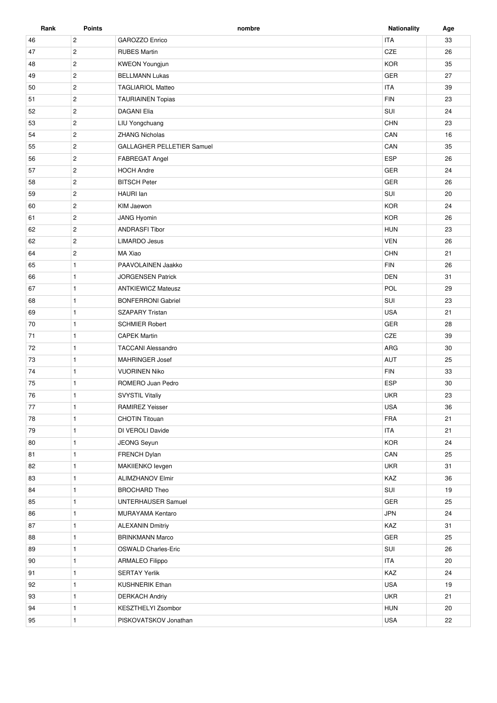| Rank | <b>Points</b>  | nombre                            | <b>Nationality</b> | Age |
|------|----------------|-----------------------------------|--------------------|-----|
| 46   | $\mathbf{2}$   | <b>GAROZZO Enrico</b>             | <b>ITA</b>         | 33  |
| 47   | $\overline{2}$ | <b>RUBES Martin</b>               | CZE                | 26  |
| 48   | $\overline{2}$ | <b>KWEON Youngjun</b>             | <b>KOR</b>         | 35  |
| 49   | $\mathbf{2}$   | <b>BELLMANN Lukas</b>             | <b>GER</b>         | 27  |
| 50   | $\overline{2}$ | <b>TAGLIARIOL Matteo</b>          | <b>ITA</b>         | 39  |
| 51   | $\overline{2}$ | <b>TAURIAINEN Topias</b>          | <b>FIN</b>         | 23  |
| 52   | $\overline{2}$ | <b>DAGANI Elia</b>                | SUI                | 24  |
| 53   | $\overline{2}$ | LIU Yongchuang                    | CHN                | 23  |
| 54   | $\overline{2}$ | <b>ZHANG Nicholas</b>             | CAN                | 16  |
| 55   | $\overline{2}$ | <b>GALLAGHER PELLETIER Samuel</b> | CAN                | 35  |
| 56   | $\mathbf{2}$   | FABREGAT Angel                    | ESP                | 26  |
| 57   | $\mathbf{2}$   | <b>HOCH Andre</b>                 | GER                | 24  |
| 58   | $\overline{2}$ | <b>BITSCH Peter</b>               | GER                | 26  |
| 59   | $\overline{2}$ | <b>HAURI</b> Ian                  | SUI                | 20  |
| 60   | $\mathbf{2}$   | KIM Jaewon                        | <b>KOR</b>         | 24  |
| 61   | $\overline{c}$ | JANG Hyomin                       | <b>KOR</b>         | 26  |
| 62   | $\mathbf{2}$   | <b>ANDRASFI Tibor</b>             | <b>HUN</b>         | 23  |
| 62   | $\overline{c}$ | <b>LIMARDO Jesus</b>              | <b>VEN</b>         | 26  |
| 64   | $\mathbf{2}$   | MA Xiao                           | <b>CHN</b>         | 21  |
| 65   | $\mathbf{1}$   | PAAVOLAINEN Jaakko                | <b>FIN</b>         | 26  |
| 66   | $\mathbf{1}$   | <b>JORGENSEN Patrick</b>          | <b>DEN</b>         | 31  |
| 67   | $\mathbf{1}$   | <b>ANTKIEWICZ Mateusz</b>         | POL                | 29  |
| 68   | $\mathbf{1}$   | <b>BONFERRONI Gabriel</b>         | SUI                | 23  |
| 69   | $\mathbf{1}$   | <b>SZAPARY Tristan</b>            | <b>USA</b>         | 21  |
| 70   | $\mathbf{1}$   | <b>SCHMIER Robert</b>             | <b>GER</b>         | 28  |
| 71   | $\mathbf{1}$   | <b>CAPEK Martin</b>               | CZE                | 39  |
| 72   | $\mathbf{1}$   | <b>TACCANI Alessandro</b>         | ARG                | 30  |
| 73   | $\mathbf{1}$   | <b>MAHRINGER Josef</b>            | AUT                | 25  |
| 74   | $\mathbf{1}$   | <b>VUORINEN Niko</b>              | <b>FIN</b>         | 33  |
| 75   | $\mathbf{1}$   | ROMERO Juan Pedro                 | <b>ESP</b>         | 30  |
|      |                |                                   |                    |     |
| 76   | $\mathbf{1}$   | SVYSTIL Vitaliy                   | <b>UKR</b>         | 23  |
| 77   | $\mathbf{1}$   | RAMIREZ Yeisser                   | <b>USA</b>         | 36  |
| 78   | $\mathbf{1}$   | <b>CHOTIN Titouan</b>             | FRA                | 21  |
| 79   | $\mathbf{1}$   | DI VEROLI Davide                  | <b>ITA</b>         | 21  |
| 80   | $\mathbf{1}$   | JEONG Seyun                       | KOR                | 24  |
| 81   | $\mathbf{1}$   | FRENCH Dylan                      | CAN                | 25  |
| 82   | $\mathbf{1}$   | MAKIIENKO levgen                  | <b>UKR</b>         | 31  |
| 83   | $\mathbf{1}$   | <b>ALIMZHANOV Elmir</b>           | KAZ                | 36  |
| 84   | $\mathbf{1}$   | <b>BROCHARD Theo</b>              | SUI                | 19  |
| 85   | $\mathbf{1}$   | <b>UNTERHAUSER Samuel</b>         | GER                | 25  |
| 86   | $\mathbf{1}$   | MURAYAMA Kentaro                  | <b>JPN</b>         | 24  |
| 87   | $\mathbf{1}$   | <b>ALEXANIN Dmitriy</b>           | KAZ                | 31  |
| 88   | $\mathbf{1}$   | <b>BRINKMANN Marco</b>            | GER                | 25  |
| 89   | $\mathbf{1}$   | <b>OSWALD Charles-Eric</b>        | SUI                | 26  |
| 90   | $\mathbf{1}$   | <b>ARMALEO Filippo</b>            | <b>ITA</b>         | 20  |
| 91   | $\mathbf{1}$   | <b>SERTAY Yerlik</b>              | KAZ                | 24  |
| 92   | $\mathbf{1}$   | <b>KUSHNERIK Ethan</b>            | <b>USA</b>         | 19  |
| 93   | $\mathbf{1}$   | <b>DERKACH Andriy</b>             | <b>UKR</b>         | 21  |
| 94   | $\mathbf{1}$   | KESZTHELYI Zsombor                | <b>HUN</b>         | 20  |
| 95   | $\mathbf{1}$   | PISKOVATSKOV Jonathan             | <b>USA</b>         | 22  |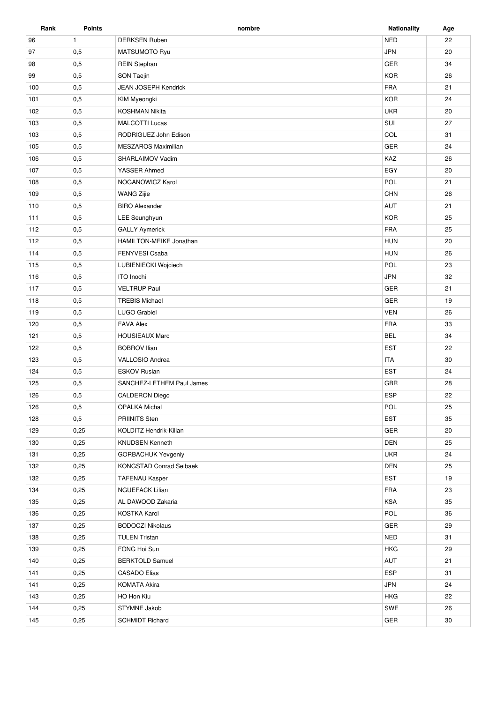| Rank | <b>Points</b> | nombre                      | <b>Nationality</b> | Age |
|------|---------------|-----------------------------|--------------------|-----|
| 96   | $\mathbf{1}$  | <b>DERKSEN Ruben</b>        | <b>NED</b>         | 22  |
| 97   | 0,5           | MATSUMOTO Ryu               | <b>JPN</b>         | 20  |
| 98   | 0,5           | <b>REIN Stephan</b>         | <b>GER</b>         | 34  |
| 99   | 0,5           | SON Taejin                  | <b>KOR</b>         | 26  |
| 100  | 0,5           | <b>JEAN JOSEPH Kendrick</b> | <b>FRA</b>         | 21  |
| 101  | 0,5           | KIM Myeongki                | <b>KOR</b>         | 24  |
| 102  | 0,5           | <b>KOSHMAN Nikita</b>       | <b>UKR</b>         | 20  |
| 103  | 0,5           | <b>MALCOTTI Lucas</b>       | SUI                | 27  |
| 103  | 0,5           | RODRIGUEZ John Edison       | COL                | 31  |
| 105  | 0,5           | <b>MESZAROS Maximilian</b>  | GER                | 24  |
| 106  | 0,5           | SHARLAIMOV Vadim            | KAZ                | 26  |
| 107  | 0,5           | YASSER Ahmed                | EGY                | 20  |
| 108  | 0,5           | NOGANOWICZ Karol            | POL                | 21  |
| 109  | 0,5           | <b>WANG Zijie</b>           | <b>CHN</b>         | 26  |
| 110  | 0,5           | <b>BIRO Alexander</b>       | AUT                | 21  |
| 111  | 0,5           | <b>LEE Seunghyun</b>        | <b>KOR</b>         | 25  |
| 112  | 0,5           | <b>GALLY Aymerick</b>       | <b>FRA</b>         | 25  |
| 112  | 0,5           | HAMILTON-MEIKE Jonathan     | <b>HUN</b>         | 20  |
| 114  | 0,5           | <b>FENYVESI Csaba</b>       | <b>HUN</b>         | 26  |
| 115  | 0,5           | LUBIENIECKI Wojciech        | POL                | 23  |
| 116  | 0,5           | <b>ITO Inochi</b>           | <b>JPN</b>         | 32  |
| 117  | 0,5           | <b>VELTRUP Paul</b>         | GER                | 21  |
| 118  | 0,5           | <b>TREBIS Michael</b>       | <b>GER</b>         | 19  |
| 119  | 0,5           | <b>LUGO Grabiel</b>         | <b>VEN</b>         | 26  |
| 120  | 0,5           | <b>FAVA Alex</b>            | <b>FRA</b>         | 33  |
| 121  | 0,5           | <b>HOUSIEAUX Marc</b>       | <b>BEL</b>         | 34  |
| 122  | 0,5           | <b>BOBROV Ilian</b>         | <b>EST</b>         | 22  |
| 123  | 0,5           | VALLOSIO Andrea             | <b>ITA</b>         | 30  |
| 124  | 0,5           | <b>ESKOV Ruslan</b>         | <b>EST</b>         | 24  |
| 125  | 0,5           | SANCHEZ-LETHEM Paul James   | <b>GBR</b>         | 28  |
| 126  | 0,5           | <b>CALDERON Diego</b>       | <b>ESP</b>         | 22  |
| 126  | 0,5           | <b>OPALKA Michal</b>        | POL                | 25  |
| 128  | 0,5           | PRIINITS Sten               | <b>EST</b>         | 35  |
| 129  | 0,25          | KOLDITZ Hendrik-Kilian      | GER                | 20  |
| 130  | 0,25          | <b>KNUDSEN Kenneth</b>      | DEN                | 25  |
| 131  | 0,25          | <b>GORBACHUK Yevgeniy</b>   | <b>UKR</b>         | 24  |
| 132  | 0,25          | KONGSTAD Conrad Seibaek     | DEN                | 25  |
| 132  | 0,25          | <b>TAFENAU Kasper</b>       | <b>EST</b>         | 19  |
| 134  | 0,25          | <b>NGUEFACK Lilian</b>      | <b>FRA</b>         | 23  |
| 135  | 0,25          | AL DAWOOD Zakaria           | KSA                | 35  |
| 136  | 0,25          | <b>KOSTKA Karol</b>         | POL                | 36  |
| 137  | 0,25          | <b>BODOCZI Nikolaus</b>     | GER                | 29  |
| 138  | 0,25          | <b>TULEN Tristan</b>        | <b>NED</b>         | 31  |
| 139  | 0,25          | FONG Hoi Sun                | <b>HKG</b>         | 29  |
| 140  | 0,25          | <b>BERKTOLD Samuel</b>      | AUT                | 21  |
| 141  | 0,25          | <b>CASADO Elias</b>         | ESP                | 31  |
| 141  | 0,25          | <b>KOMATA Akira</b>         | <b>JPN</b>         | 24  |
| 143  | 0,25          | HO Hon Kiu                  | <b>HKG</b>         | 22  |
| 144  | 0,25          | STYMNE Jakob                | SWE                | 26  |
| 145  | 0,25          | <b>SCHMIDT Richard</b>      | GER                | 30  |
|      |               |                             |                    |     |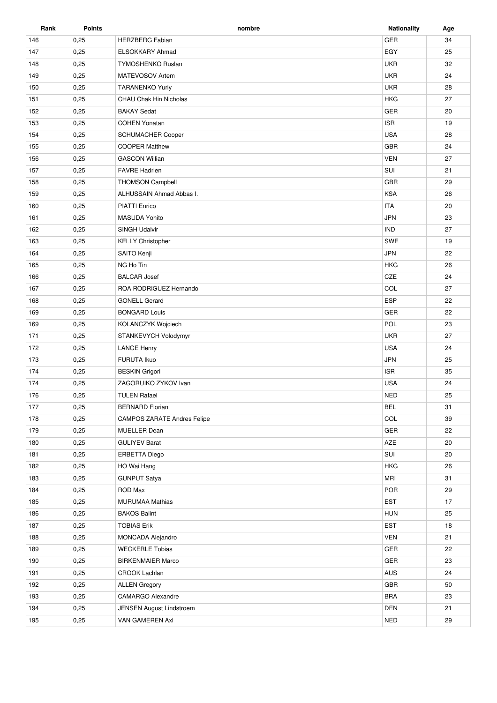| Rank | <b>Points</b> | nombre                             | <b>Nationality</b> | Age |
|------|---------------|------------------------------------|--------------------|-----|
| 146  | 0,25          | <b>HERZBERG Fabian</b>             | <b>GER</b>         | 34  |
| 147  | 0,25          | ELSOKKARY Ahmad                    | EGY                | 25  |
| 148  | 0,25          | <b>TYMOSHENKO Ruslan</b>           | <b>UKR</b>         | 32  |
| 149  | 0,25          | MATEVOSOV Artem                    | <b>UKR</b>         | 24  |
| 150  | 0,25          | <b>TARANENKO Yuriy</b>             | <b>UKR</b>         | 28  |
| 151  | 0,25          | CHAU Chak Hin Nicholas             | <b>HKG</b>         | 27  |
| 152  | 0,25          | <b>BAKAY Sedat</b>                 | GER                | 20  |
| 153  | 0,25          | <b>COHEN Yonatan</b>               | <b>ISR</b>         | 19  |
| 154  | 0,25          | <b>SCHUMACHER Cooper</b>           | <b>USA</b>         | 28  |
| 155  | 0,25          | <b>COOPER Matthew</b>              | <b>GBR</b>         | 24  |
| 156  | 0,25          | <b>GASCON Willian</b>              | <b>VEN</b>         | 27  |
| 157  | 0,25          | <b>FAVRE Hadrien</b>               | SUI                | 21  |
| 158  | 0,25          | <b>THOMSON Campbell</b>            | <b>GBR</b>         | 29  |
| 159  | 0,25          | ALHUSSAIN Ahmad Abbas I.           | <b>KSA</b>         | 26  |
| 160  | 0,25          | <b>PIATTI Enrico</b>               | <b>ITA</b>         | 20  |
| 161  | 0,25          | <b>MASUDA Yohito</b>               | <b>JPN</b>         | 23  |
| 162  | 0,25          | <b>SINGH Udaivir</b>               | <b>IND</b>         | 27  |
| 163  | 0,25          | <b>KELLY Christopher</b>           | <b>SWE</b>         | 19  |
| 164  | 0,25          | SAITO Kenji                        | <b>JPN</b>         | 22  |
| 165  | 0,25          | NG Ho Tin                          | <b>HKG</b>         | 26  |
| 166  | 0,25          | <b>BALCAR Josef</b>                | CZE                | 24  |
| 167  | 0,25          | ROA RODRIGUEZ Hernando             | COL                | 27  |
| 168  | 0,25          | <b>GONELL Gerard</b>               | <b>ESP</b>         | 22  |
| 169  | 0,25          | <b>BONGARD Louis</b>               | GER                | 22  |
| 169  | 0,25          | KOLANCZYK Wojciech                 | POL                | 23  |
| 171  | 0,25          | STANKEVYCH Volodymyr               | <b>UKR</b>         | 27  |
| 172  | 0,25          | <b>LANGE Henry</b>                 | <b>USA</b>         | 24  |
| 173  | 0,25          | <b>FURUTA Ikuo</b>                 | <b>JPN</b>         | 25  |
| 174  | 0,25          | <b>BESKIN Grigori</b>              | <b>ISR</b>         | 35  |
| 174  | 0,25          | ZAGORUIKO ZYKOV Ivan               | <b>USA</b>         | 24  |
| 176  | 0,25          | <b>TULEN Rafael</b>                | <b>NED</b>         | 25  |
| 177  | 0,25          | <b>BERNARD Florian</b>             | <b>BEL</b>         | 31  |
| 178  | 0,25          | <b>CAMPOS ZARATE Andres Felipe</b> | COL                | 39  |
| 179  | 0,25          | <b>MUELLER Dean</b>                | GER                | 22  |
| 180  | 0,25          | <b>GULIYEV Barat</b>               | AZE                | 20  |
| 181  | 0,25          | <b>ERBETTA Diego</b>               | SUI                | 20  |
| 182  | 0,25          | HO Wai Hang                        | <b>HKG</b>         | 26  |
| 183  | 0,25          | <b>GUNPUT Satya</b>                | <b>MRI</b>         | 31  |
| 184  | 0,25          | ROD Max                            | POR                | 29  |
| 185  | 0,25          | <b>MURUMAA Mathias</b>             | <b>EST</b>         | 17  |
| 186  | 0,25          | <b>BAKOS Balint</b>                | <b>HUN</b>         | 25  |
| 187  | 0,25          | <b>TOBIAS Erik</b>                 | EST                | 18  |
| 188  | 0,25          | MONCADA Alejandro                  | <b>VEN</b>         | 21  |
| 189  | 0,25          | <b>WECKERLE Tobias</b>             | GER                | 22  |
| 190  | 0,25          | <b>BIRKENMAIER Marco</b>           | GER                | 23  |
| 191  | 0,25          | <b>CROOK Lachlan</b>               | AUS                | 24  |
| 192  | 0,25          | <b>ALLEN Gregory</b>               | GBR                | 50  |
| 193  | 0,25          | <b>CAMARGO Alexandre</b>           | <b>BRA</b>         | 23  |
| 194  | 0,25          | JENSEN August Lindstroem           | DEN                | 21  |
|      |               |                                    |                    |     |
| 195  | 0,25          | VAN GAMEREN Axl                    | <b>NED</b>         | 29  |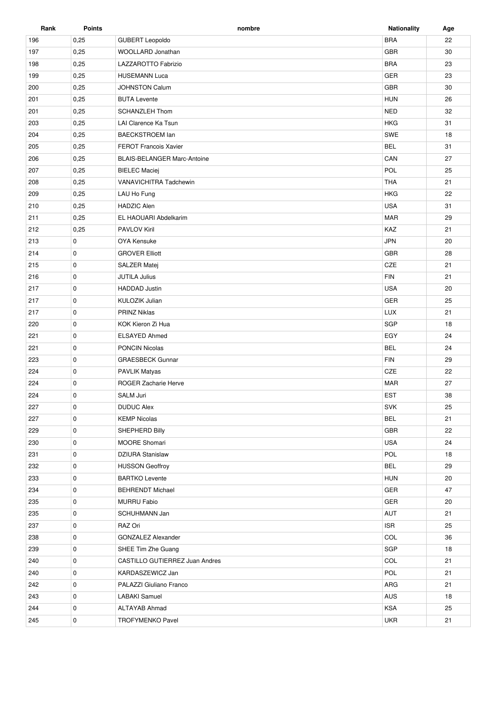| Rank | <b>Points</b> | nombre                             | <b>Nationality</b> | Age |
|------|---------------|------------------------------------|--------------------|-----|
| 196  | 0,25          | <b>GUBERT Leopoldo</b>             | <b>BRA</b>         | 22  |
| 197  | 0,25          | WOOLLARD Jonathan                  | GBR                | 30  |
| 198  | 0,25          | LAZZAROTTO Fabrizio                | <b>BRA</b>         | 23  |
| 199  | 0,25          | <b>HUSEMANN Luca</b>               | <b>GER</b>         | 23  |
| 200  | 0,25          | <b>JOHNSTON Calum</b>              | GBR                | 30  |
| 201  | 0,25          | <b>BUTA Levente</b>                | <b>HUN</b>         | 26  |
| 201  | 0,25          | <b>SCHANZLEH Thom</b>              | <b>NED</b>         | 32  |
| 203  | 0,25          | LAI Clarence Ka Tsun               | <b>HKG</b>         | 31  |
| 204  | 0,25          | <b>BAECKSTROEM lan</b>             | SWE                | 18  |
| 205  | 0,25          | <b>FEROT Francois Xavier</b>       | <b>BEL</b>         | 31  |
| 206  | 0,25          | <b>BLAIS-BELANGER Marc-Antoine</b> | CAN                | 27  |
| 207  | 0,25          | <b>BIELEC Maciej</b>               | POL                | 25  |
| 208  | 0,25          | VANAVICHITRA Tadchewin             | <b>THA</b>         | 21  |
| 209  | 0,25          | LAU Ho Fung                        | <b>HKG</b>         | 22  |
| 210  | 0,25          | <b>HADZIC Alen</b>                 | <b>USA</b>         | 31  |
| 211  | 0,25          | EL HAOUARI Abdelkarim              | <b>MAR</b>         | 29  |
| 212  | 0,25          | <b>PAVLOV Kiril</b>                | KAZ                | 21  |
| 213  | 0             | OYA Kensuke                        | <b>JPN</b>         | 20  |
| 214  | 0             | <b>GROVER Elliott</b>              | <b>GBR</b>         | 28  |
| 215  | 0             | <b>SALZER Matej</b>                | CZE                | 21  |
| 216  | 0             | <b>JUTILA Julius</b>               | <b>FIN</b>         | 21  |
| 217  | 0             | <b>HADDAD Justin</b>               | <b>USA</b>         | 20  |
| 217  | $\mathbf 0$   | KULOZIK Julian                     | <b>GER</b>         | 25  |
| 217  | $\mathbf 0$   | <b>PRINZ Niklas</b>                | LUX                | 21  |
| 220  | 0             | KOK Kieron Zi Hua                  | SGP                | 18  |
| 221  | 0             | <b>ELSAYED Ahmed</b>               | EGY                | 24  |
| 221  | 0             | <b>PONCIN Nicolas</b>              | <b>BEL</b>         | 24  |
| 223  | 0             | <b>GRAESBECK Gunnar</b>            | <b>FIN</b>         | 29  |
| 224  | $\mathbf 0$   | <b>PAVLIK Matyas</b>               | CZE                | 22  |
| 224  | $\mathbf 0$   | <b>ROGER Zacharie Herve</b>        | <b>MAR</b>         | 27  |
| 224  | $\mathbf 0$   | SALM Juri                          | <b>EST</b>         | 38  |
| 227  | 0             | <b>DUDUC Alex</b>                  | SVK                | 25  |
| 227  | 0             | <b>KEMP Nicolas</b>                | <b>BEL</b>         | 21  |
| 229  | 0             | SHEPHERD Billy                     | GBR                | 22  |
| 230  | 0             | MOORE Shomari                      | <b>USA</b>         | 24  |
| 231  | 0             | <b>DZIURA Stanislaw</b>            | POL                | 18  |
| 232  | 0             | <b>HUSSON Geoffroy</b>             | <b>BEL</b>         | 29  |
| 233  | 0             | <b>BARTKO Levente</b>              | <b>HUN</b>         | 20  |
| 234  | 0             | <b>BEHRENDT Michael</b>            | GER                | 47  |
| 235  | 0             | <b>MURRU Fabio</b>                 | GER                | 20  |
| 235  | 0             | SCHUHMANN Jan                      | AUT                | 21  |
| 237  | 0             | RAZ Ori                            | <b>ISR</b>         | 25  |
| 238  | $\mathbf 0$   | <b>GONZALEZ Alexander</b>          | COL                | 36  |
| 239  | 0             | SHEE Tim Zhe Guang                 | SGP                | 18  |
| 240  | 0             | CASTILLO GUTIERREZ Juan Andres     | COL                | 21  |
| 240  | $\mathbf 0$   | KARDASZEWICZ Jan                   | POL                | 21  |
| 242  | 0             | PALAZZI Giuliano Franco            | ARG                | 21  |
| 243  | 0             | <b>LABAKI</b> Samuel               | AUS                | 18  |
| 244  | 0             | <b>ALTAYAB Ahmad</b>               | <b>KSA</b>         | 25  |
| 245  | 0             | <b>TROFYMENKO Pavel</b>            | <b>UKR</b>         | 21  |
|      |               |                                    |                    |     |